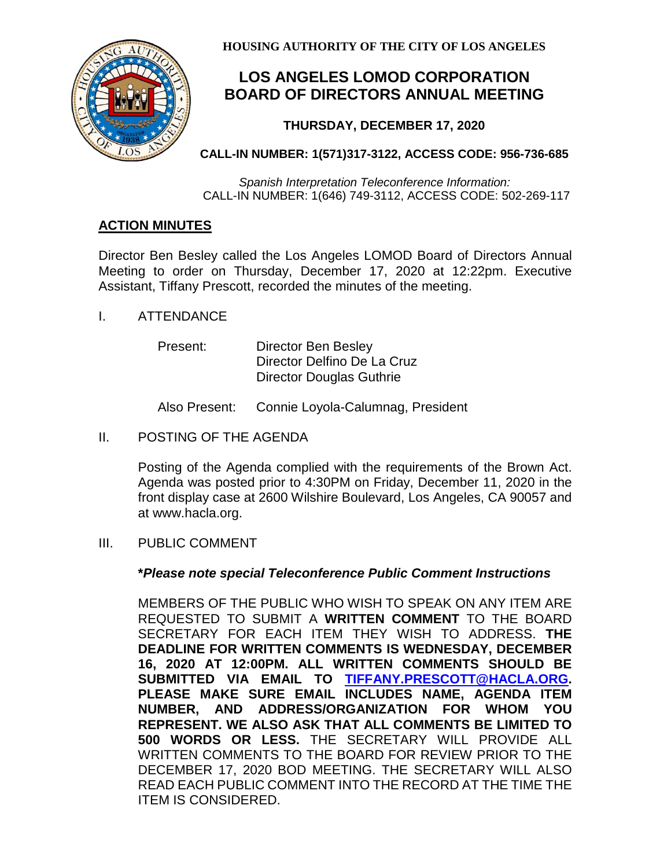

**HOUSING AUTHORITY OF THE CITY OF LOS ANGELES**

# **LOS ANGELES LOMOD CORPORATION BOARD OF DIRECTORS ANNUAL MEETING**

## **THURSDAY, DECEMBER 17, 2020**

### **CALL-IN NUMBER: 1(571)317-3122, ACCESS CODE: 956-736-685**

*Spanish Interpretation Teleconference Information:* CALL-IN NUMBER: 1(646) 749-3112, ACCESS CODE: 502-269-117

## **ACTION MINUTES**

Director Ben Besley called the Los Angeles LOMOD Board of Directors Annual Meeting to order on Thursday, December 17, 2020 at 12:22pm. Executive Assistant, Tiffany Prescott, recorded the minutes of the meeting.

I. ATTENDANCE

| Present: | Director Ben Besley             |
|----------|---------------------------------|
|          | Director Delfino De La Cruz     |
|          | <b>Director Douglas Guthrie</b> |

Also Present: Connie Loyola-Calumnag, President

II. POSTING OF THE AGENDA

Posting of the Agenda complied with the requirements of the Brown Act. Agenda was posted prior to 4:30PM on Friday, December 11, 2020 in the front display case at 2600 Wilshire Boulevard, Los Angeles, CA 90057 and at www.hacla.org.

III. PUBLIC COMMENT

#### **\****Please note special Teleconference Public Comment Instructions*

MEMBERS OF THE PUBLIC WHO WISH TO SPEAK ON ANY ITEM ARE REQUESTED TO SUBMIT A **WRITTEN COMMENT** TO THE BOARD SECRETARY FOR EACH ITEM THEY WISH TO ADDRESS. **THE DEADLINE FOR WRITTEN COMMENTS IS WEDNESDAY, DECEMBER 16, 2020 AT 12:00PM. ALL WRITTEN COMMENTS SHOULD BE SUBMITTED VIA EMAIL TO [TIFFANY.PRESCOTT@HACLA.ORG.](mailto:TIFFANY.PRESCOTT@HACLA.ORG) PLEASE MAKE SURE EMAIL INCLUDES NAME, AGENDA ITEM NUMBER, AND ADDRESS/ORGANIZATION FOR WHOM YOU REPRESENT. WE ALSO ASK THAT ALL COMMENTS BE LIMITED TO 500 WORDS OR LESS.** THE SECRETARY WILL PROVIDE ALL WRITTEN COMMENTS TO THE BOARD FOR REVIEW PRIOR TO THE DECEMBER 17, 2020 BOD MEETING. THE SECRETARY WILL ALSO READ EACH PUBLIC COMMENT INTO THE RECORD AT THE TIME THE ITEM IS CONSIDERED.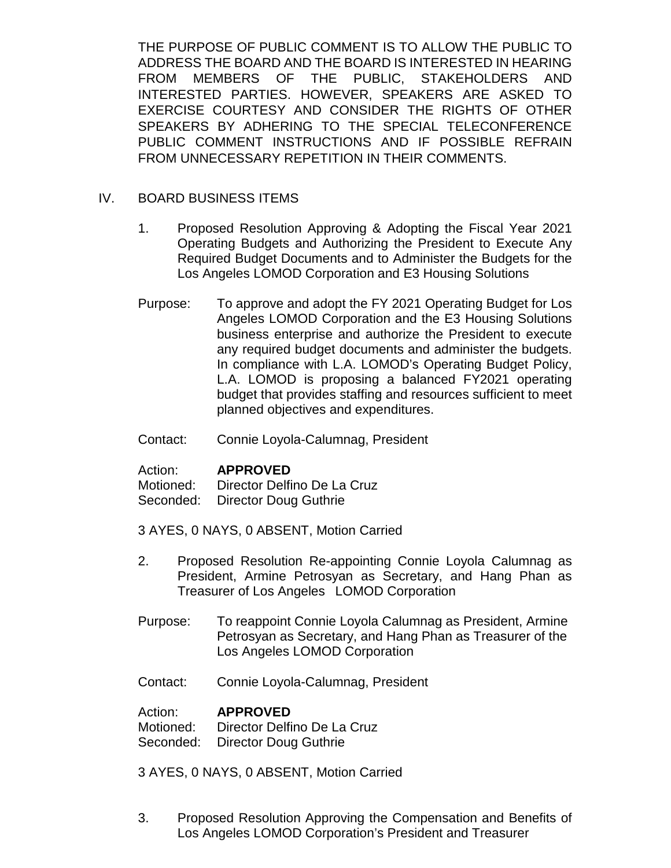THE PURPOSE OF PUBLIC COMMENT IS TO ALLOW THE PUBLIC TO ADDRESS THE BOARD AND THE BOARD IS INTERESTED IN HEARING FROM MEMBERS OF THE PUBLIC, STAKEHOLDERS AND INTERESTED PARTIES. HOWEVER, SPEAKERS ARE ASKED TO EXERCISE COURTESY AND CONSIDER THE RIGHTS OF OTHER SPEAKERS BY ADHERING TO THE SPECIAL TELECONFERENCE PUBLIC COMMENT INSTRUCTIONS AND IF POSSIBLE REFRAIN FROM UNNECESSARY REPETITION IN THEIR COMMENTS.

#### IV. BOARD BUSINESS ITEMS

- 1. Proposed Resolution Approving & Adopting the Fiscal Year 2021 Operating Budgets and Authorizing the President to Execute Any Required Budget Documents and to Administer the Budgets for the Los Angeles LOMOD Corporation and E3 Housing Solutions
- Purpose: To approve and adopt the FY 2021 Operating Budget for Los Angeles LOMOD Corporation and the E3 Housing Solutions business enterprise and authorize the President to execute any required budget documents and administer the budgets. In compliance with L.A. LOMOD's Operating Budget Policy, L.A. LOMOD is proposing a balanced FY2021 operating budget that provides staffing and resources sufficient to meet planned objectives and expenditures.
- Contact: Connie Loyola-Calumnag, President

Action: **APPROVED**

Motioned: Director Delfino De La Cruz Seconded: Director Doug Guthrie

- 3 AYES, 0 NAYS, 0 ABSENT, Motion Carried
- 2. Proposed Resolution Re-appointing Connie Loyola Calumnag as President, Armine Petrosyan as Secretary, and Hang Phan as Treasurer of Los Angeles LOMOD Corporation
- Purpose: To reappoint Connie Loyola Calumnag as President, Armine Petrosyan as Secretary, and Hang Phan as Treasurer of the Los Angeles LOMOD Corporation
- Contact: Connie Loyola-Calumnag, President

Action: **APPROVED** Motioned: Director Delfino De La Cruz Seconded: Director Doug Guthrie

3 AYES, 0 NAYS, 0 ABSENT, Motion Carried

3. Proposed Resolution Approving the Compensation and Benefits of Los Angeles LOMOD Corporation's President and Treasurer